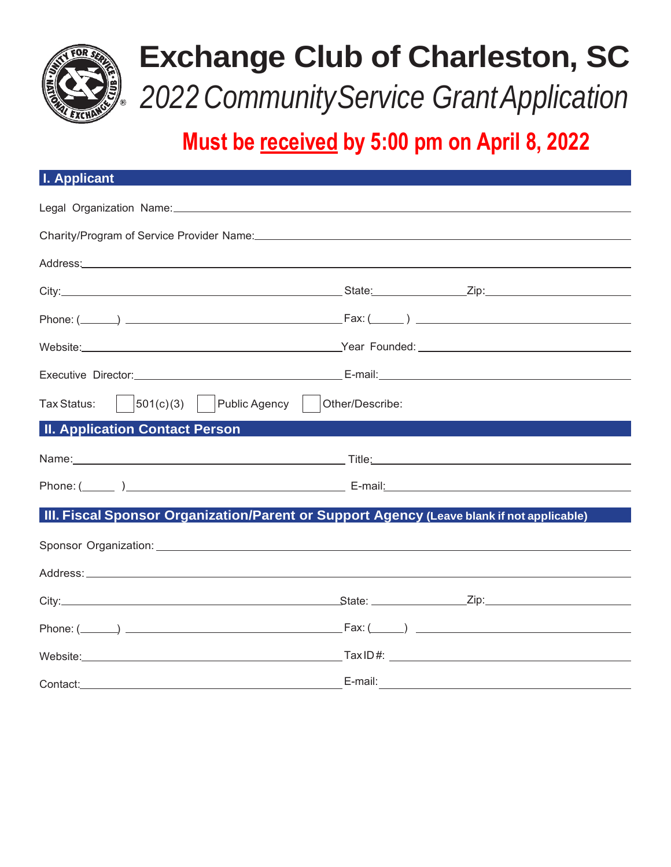

# **Exchange Club of Charleston, SC** *2022 CommunityService GrantApplication*

## **Must be received by 5:00 pm on April 8, 2022**

| <b>I. Applicant</b>                                                                                                                                                                                                            |  |  |
|--------------------------------------------------------------------------------------------------------------------------------------------------------------------------------------------------------------------------------|--|--|
| Legal Organization Name: Manual According to the Control of the Control of the Control of the Control of the Control of the Control of the Control of the Control of the Control of the Control of the Control of the Control  |  |  |
| Charity/Program of Service Provider Name: Mannell Annual Account of the Charity/Program of Service Provider Name: Mannell Account of the Charity Account of Service Provider Name: Mannell Account of the Charity Account of t |  |  |
|                                                                                                                                                                                                                                |  |  |
|                                                                                                                                                                                                                                |  |  |
|                                                                                                                                                                                                                                |  |  |
| Website: Website: Website: Website: Website: Website: Website: Website: Website: Website: Website: Website: Website: Website: Website: Website: Website: Website: Website: Website: Website: Website: Website: Website: Websit |  |  |
|                                                                                                                                                                                                                                |  |  |
| $\vert$ 501(c)(3) $\vert$ Public Agency $\vert$ Other/Describe:<br>Tax Status:                                                                                                                                                 |  |  |
| <b>II. Application Contact Person</b>                                                                                                                                                                                          |  |  |
|                                                                                                                                                                                                                                |  |  |
|                                                                                                                                                                                                                                |  |  |
| III. Fiscal Sponsor Organization/Parent or Support Agency (Leave blank if not applicable)                                                                                                                                      |  |  |
|                                                                                                                                                                                                                                |  |  |
|                                                                                                                                                                                                                                |  |  |
|                                                                                                                                                                                                                                |  |  |
|                                                                                                                                                                                                                                |  |  |
|                                                                                                                                                                                                                                |  |  |
|                                                                                                                                                                                                                                |  |  |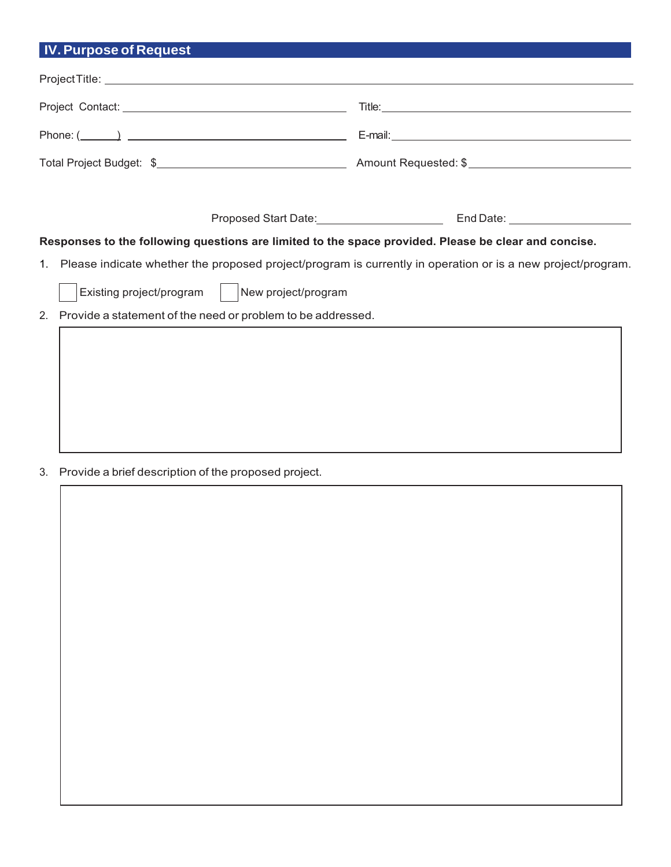### **IV.Purpose of Request**

Iicn8ssswwwkt

| Phone: $(\_\_\_\_)$                                                                                            |  |  |
|----------------------------------------------------------------------------------------------------------------|--|--|
|                                                                                                                |  |  |
|                                                                                                                |  |  |
|                                                                                                                |  |  |
| Responses to the following questions are limited to the space provided. Please be clear and concise.           |  |  |
| 1. Please indicate whether the proposed project/program is currently in operation or is a new project/program. |  |  |
| Existing project/program   New project/program                                                                 |  |  |
| 2. Provide a statement of the need or problem to be addressed.                                                 |  |  |
|                                                                                                                |  |  |
|                                                                                                                |  |  |

Iich8wwkt Iicn8wwkt Iicn8wwkt Iicn8wwkt Iicn8wwkt Iicn8wwkt Iicn8wwkt Iicn8wwkt Iicn8wwkt Iicn8wwkt Iicn8wwkt I

Iich8wwktIicn8wwktIicn8wwktIicn8wwktIicn8wwwktIicn8wwwktIicn8wwwktIicn8wwwktIicn8wwktIicn8ww

Iich8wwkt Iicn8wwkt Iicn8wwkt Iicn8wwkt Iicn8wwkt Iicn8wwkt Iicn8wwkt Iicn8wwkt Iicn8wwkt Iicn 8ww

#### 3. Provide a brief description of the proposed project.

| Provide a brief description of the proposed project. |  |  |
|------------------------------------------------------|--|--|
|                                                      |  |  |
|                                                      |  |  |
|                                                      |  |  |
|                                                      |  |  |
|                                                      |  |  |
|                                                      |  |  |
|                                                      |  |  |
|                                                      |  |  |
|                                                      |  |  |
|                                                      |  |  |
|                                                      |  |  |
|                                                      |  |  |
|                                                      |  |  |
|                                                      |  |  |
|                                                      |  |  |
|                                                      |  |  |
|                                                      |  |  |
|                                                      |  |  |
|                                                      |  |  |